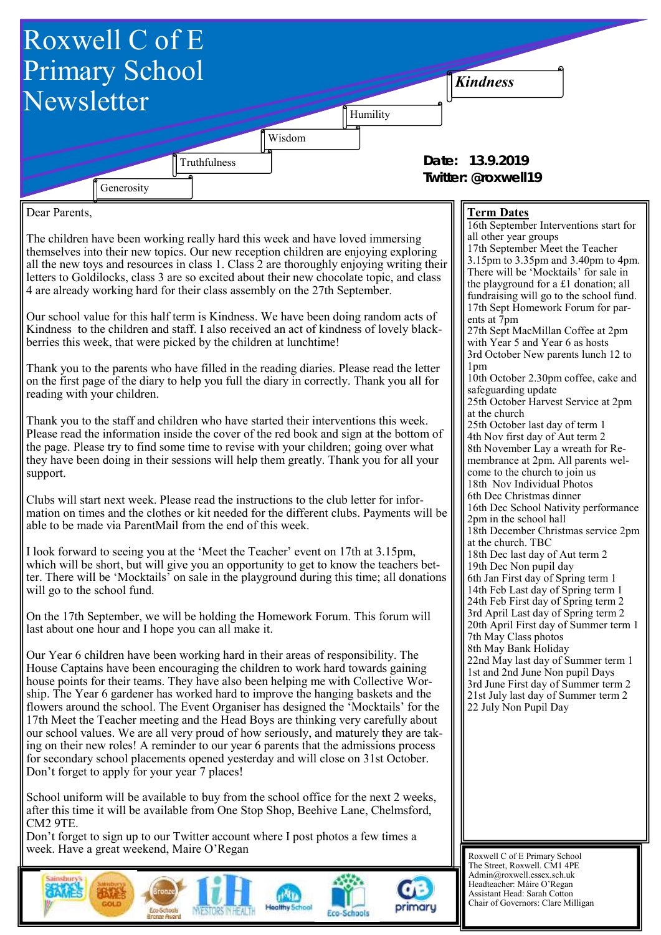